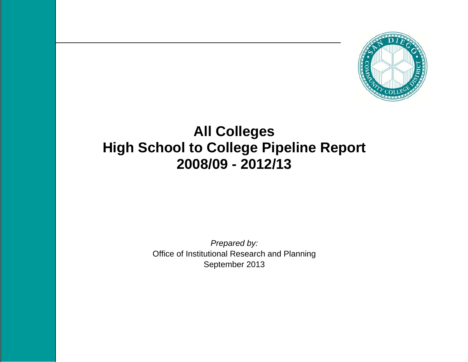

# **All Colleges High School to College Pipeline Report 2008/09 - 2012/13**

*Prepared by:*  Office of Institutional Research and Planning September 2013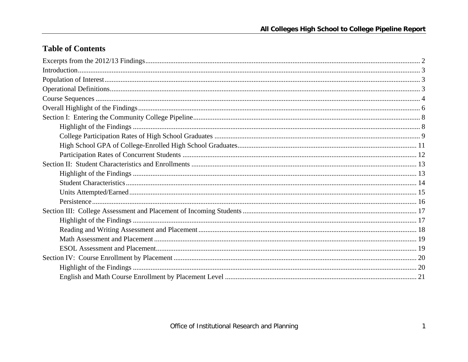## **Table of Contents**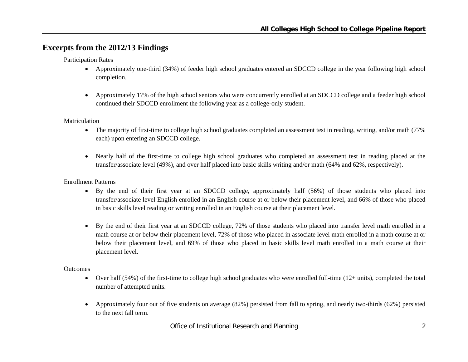## **Excerpts from the 2012/13 Findings**

Participation Rates

- Approximately one-third (34%) of feeder high school graduates entered an SDCCD college in the year following high school completion.
- $\bullet$  Approximately 17% of the high school seniors who were concurrently enrolled at an SDCCD college and a feeder high school continued their SDCCD enrollment the following year as a college-only student.

#### Matriculation

- The majority of first-time to college high school graduates completed an assessment test in reading, writing, and/or math (77%) each) upon entering an SDCCD college.
- Nearly half of the first-time to college high school graduates who completed an assessment test in reading placed at the transfer/associate level (49%), and over half placed into basic skills writing and/or math (64% and 62%, respectively).

#### Enrollment Patterns

- By the end of their first year at an SDCCD college, approximately half (56%) of those students who placed into transfer/associate level English enrolled in an English course at or below their placement level, and 66% of those who placed in basic skills level reading or writing enrolled in an English course at their placement level.
- By the end of their first year at an SDCCD college, 72% of those students who placed into transfer level math enrolled in a math course at or below their placement level, 72% of those who placed in associate level math enrolled in a math course at or below their placement level, and 69% of those who placed in basic skills level math enrolled in a math course at their placement level.

#### **Outcomes**

- $\bullet$  Over half (54%) of the first-time to college high school graduates who were enrolled full-time (12+ units), completed the total number of attempted units.
- $\bullet$  Approximately four out of five students on average (82%) persisted from fall to spring, and nearly two-thirds (62%) persisted to the next fall term.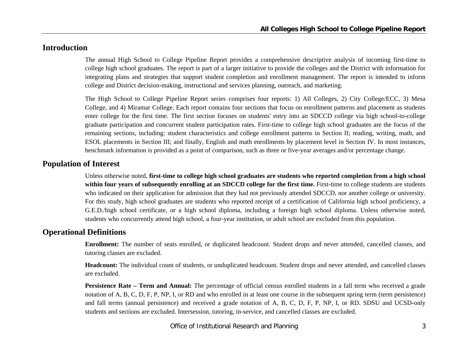## **Introduction**

The annual High School to College Pipeline Report provides a comprehensive descriptive analysis of incoming first-time to college high school graduates. The report is part of a larger initiative to provide the colleges and the District with information for integrating plans and strategies that support student completion and enrollment management. The report is intended to inform college and District decision-making, instructional and services planning, outreach, and marketing.

The High School to College Pipeline Report series comprises four reports: 1) All Colleges, 2) City College/ECC, 3) Mesa College, and 4) Miramar College. Each report contains four sections that focus on enrollment patterns and placement as students enter college for the first time. The first section focuses on students' entry into an SDCCD college via high school-to-college graduate participation and concurrent student participation rates. First-time to college high school graduates are the focus of the remaining sections, including: student characteristics and college enrollment patterns in Section II; reading, writing, math, and ESOL placements in Section III; and finally, English and math enrollments by placement level in Section IV. In most instances, benchmark information is provided as a point of comparison, such as three or five-year averages and/or percentage change.

## **Population of Interest**

Unless otherwise noted, **first-time to college high school graduates are students who reported completion from a high school within four years of subsequently enrolling at an SDCCD college for the first time.** First-time to college students are students who indicated on their application for admission that they had not previously attended SDCCD, nor another college or university. For this study, high school graduates are students who reported receipt of a certification of California high school proficiency, a G.E.D./high school certificate, or a high school diploma, including a foreign high school diploma. Unless otherwise noted, students who concurrently attend high school, a four-year institution, or adult school are excluded from this population.

## **Operational Definitions**

**Enrollment:** The number of seats enrolled, or duplicated headcount. Student drops and never attended, cancelled classes, and tutoring classes are excluded.

**Headcount:** The individual count of students, or unduplicated headcount. Student drops and never attended, and cancelled classes are excluded.

**Persistence Rate – Term and Annual:** The percentage of official census enrolled students in a fall term who received a grade notation of A, B, C, D, F, P, NP, I, or RD and who enrolled in at least one course in the subsequent spring term (term persistence) and fall terms (annual persistence) and received a grade notation of A, B, C, D, F, P, NP, I, or RD. SDSU and UCSD-only students and sections are excluded. Intersession, tutoring, in-service, and cancelled classes are excluded.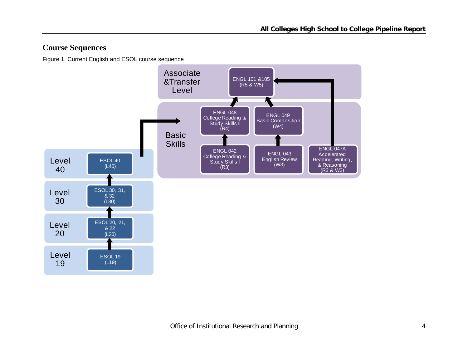## **Course Sequences**

Figure 1. Current English and ESOL course sequence

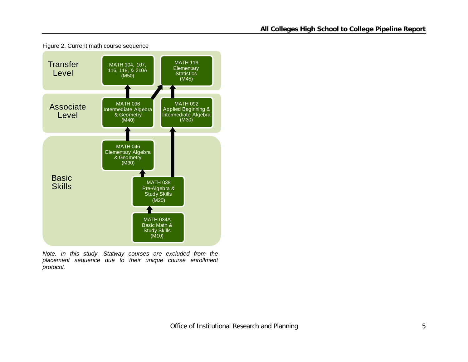

Figure 2. Current math course sequence

*Note. In this study, Statway courses are excluded from the placement sequence due to their unique course enrollment protocol.*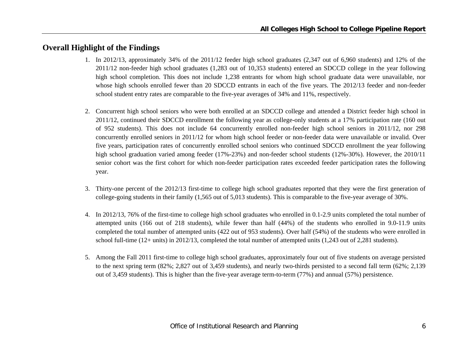## **Overall Highlight of the Findings**

- 1. In 2012/13, approximately 34% of the 2011/12 feeder high school graduates (2,347 out of 6,960 students) and 12% of the 2011/12 non-feeder high school graduates (1,283 out of 10,353 students) entered an SDCCD college in the year following high school completion. This does not include 1,238 entrants for whom high school graduate data were unavailable, nor whose high schools enrolled fewer than 20 SDCCD entrants in each of the five years. The 2012/13 feeder and non-feeder school student entry rates are comparable to the five-year averages of 34% and 11%, respectively.
- 2. Concurrent high school seniors who were both enrolled at an SDCCD college and attended a District feeder high school in 2011/12, continued their SDCCD enrollment the following year as college-only students at a 17% participation rate (160 out of 952 students). This does not include 64 concurrently enrolled non-feeder high school seniors in 2011/12, nor 298 concurrently enrolled seniors in 2011/12 for whom high school feeder or non-feeder data were unavailable or invalid. Over five years, participation rates of concurrently enrolled school seniors who continued SDCCD enrollment the year following high school graduation varied among feeder (17%-23%) and non-feeder school students (12%-30%). However, the 2010/11 senior cohort was the first cohort for which non-feeder participation rates exceeded feeder participation rates the following year.
- 3. Thirty-one percent of the 2012/13 first-time to college high school graduates reported that they were the first generation of college-going students in their family (1,565 out of 5,013 students). This is comparable to the five-year average of 30%.
- 4. In 2012/13, 76% of the first-time to college high school graduates who enrolled in 0.1-2.9 units completed the total number of attempted units (166 out of 218 students), while fewer than half (44%) of the students who enrolled in 9.0-11.9 units completed the total number of attempted units (422 out of 953 students). Over half (54%) of the students who were enrolled in school full-time (12+ units) in 2012/13, completed the total number of attempted units (1,243 out of 2,281 students).
- 5. Among the Fall 2011 first-time to college high school graduates, approximately four out of five students on average persisted to the next spring term (82%; 2,827 out of 3,459 students), and nearly two-thirds persisted to a second fall term (62%; 2,139 out of 3,459 students). This is higher than the five-year average term-to-term (77%) and annual (57%) persistence.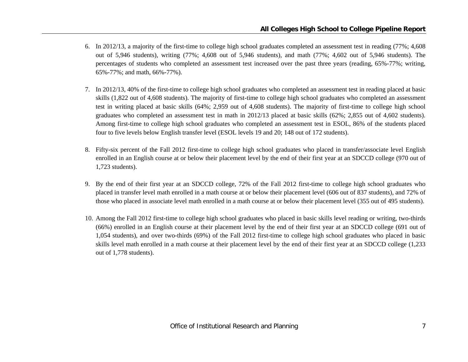- 6. In 2012/13, a majority of the first-time to college high school graduates completed an assessment test in reading (77%; 4,608 out of 5,946 students), writing (77%; 4,608 out of 5,946 students), and math (77%; 4,602 out of 5,946 students). The percentages of students who completed an assessment test increased over the past three years (reading, 65%-77%; writing, 65%-77%; and math, 66%-77%).
- 7. In 2012/13, 40% of the first-time to college high school graduates who completed an assessment test in reading placed at basic skills (1,822 out of 4,608 students). The majority of first-time to college high school graduates who completed an assessment test in writing placed at basic skills (64%; 2,959 out of 4,608 students). The majority of first-time to college high school graduates who completed an assessment test in math in 2012/13 placed at basic skills (62%; 2,855 out of 4,602 students). Among first-time to college high school graduates who completed an assessment test in ESOL, 86% of the students placed four to five levels below English transfer level (ESOL levels 19 and 20; 148 out of 172 students).
- 8. Fifty-six percent of the Fall 2012 first-time to college high school graduates who placed in transfer/associate level English enrolled in an English course at or below their placement level by the end of their first year at an SDCCD college (970 out of 1,723 students).
- 9. By the end of their first year at an SDCCD college, 72% of the Fall 2012 first-time to college high school graduates who placed in transfer level math enrolled in a math course at or below their placement level (606 out of 837 students), and 72% of those who placed in associate level math enrolled in a math course at or below their placement level (355 out of 495 students).
- 10. Among the Fall 2012 first-time to college high school graduates who placed in basic skills level reading or writing, two-thirds (66%) enrolled in an English course at their placement level by the end of their first year at an SDCCD college (691 out of 1,054 students), and over two-thirds (69%) of the Fall 2012 first-time to college high school graduates who placed in basic skills level math enrolled in a math course at their placement level by the end of their first year at an SDCCD college (1,233 out of 1,778 students).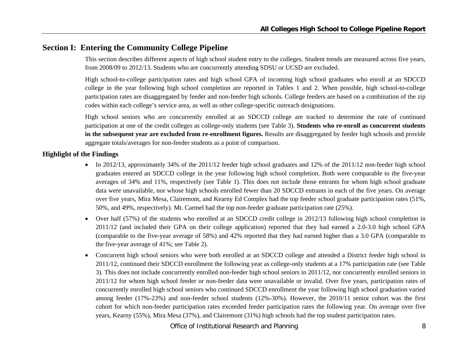## **Section I: Entering the Community College Pipeline**

This section describes different aspects of high school student entry to the colleges. Student trends are measured across five years, from 2008/09 to 2012/13. Students who are concurrently attending SDSU or UCSD are excluded.

High school-to-college participation rates and high school GPA of incoming high school graduates who enroll at an SDCCD college in the year following high school completion are reported in Tables 1 and 2. When possible, high school-to-college participation rates are disaggregated by feeder and non-feeder high schools. College feeders are based on a combination of the zip codes within each college's service area, as well as other college-specific outreach designations.

High school seniors who are concurrently enrolled at an SDCCD college are tracked to determine the rate of continued participation at one of the credit colleges as college-only students (see Table 3). **Students who re-enroll as concurrent students in the subsequent year are excluded from re-enrollment figures.** Results are disaggregated by feeder high schools and provide aggregate totals/averages for non-feeder students as a point of comparison.

#### **Highlight of the Findings**

- In 2012/13, approximately 34% of the 2011/12 feeder high school graduates and 12% of the 2011/12 non-feeder high school graduates entered an SDCCD college in the year following high school completion. Both were comparable to the five-year averages of 34% and 11%, respectively (see Table 1). This does not include those entrants for whom high school graduate data were unavailable, nor whose high schools enrolled fewer than 20 SDCCD entrants in each of the five years. On average over five years, Mira Mesa, Clairemont, and Kearny Ed Complex had the top feeder school graduate participation rates (51%, 50%, and 49%, respectively). Mt. Carmel had the top non-feeder graduate participation rate (25%).
- Over half (57%) of the students who enrolled at an SDCCD credit college in 2012/13 following high school completion in 2011/12 (and included their GPA on their college application) reported that they had earned a 2.0-3.0 high school GPA (comparable to the five-year average of 58%) and 42% reported that they had earned higher than a 3.0 GPA (comparable to the five-year average of 41%; see Table 2).
- $\bullet$  Concurrent high school seniors who were both enrolled at an SDCCD college and attended a District feeder high school in 2011/12, continued their SDCCD enrollment the following year as college-only students at a 17% participation rate (see Table 3). This does not include concurrently enrolled non-feeder high school seniors in 2011/12, nor concurrently enrolled seniors in 2011/12 for whom high school feeder or non-feeder data were unavailable or invalid. Over five years, participation rates of concurrently enrolled high school seniors who continued SDCCD enrollment the year following high school graduation varied among feeder (17%-23%) and non-feeder school students (12%-30%). However, the 2010/11 senior cohort was the first cohort for which non-feeder participation rates exceeded feeder participation rates the following year. On average over five years, Kearny (55%), Mira Mesa (37%), and Clairemont (31%) high schools had the top student participation rates.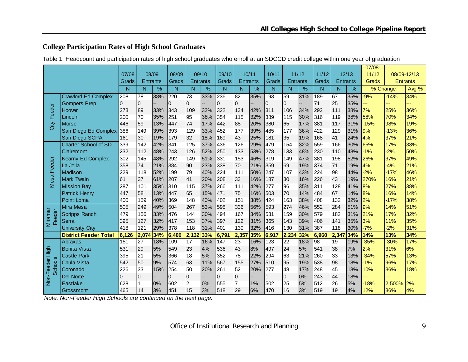## **College Participation Rates of High School Graduates**

| Table 1. Headcount and participation rates of high school graduates who enroll at an SDCCD credit college within one year of graduation |
|-----------------------------------------------------------------------------------------------------------------------------------------|
|-----------------------------------------------------------------------------------------------------------------------------------------|

|                   |                              |          |                 |                 |       |                |                 |                  |                |                 |                  |                |                 |       |                 |                 | 07/08-   |        |                 |
|-------------------|------------------------------|----------|-----------------|-----------------|-------|----------------|-----------------|------------------|----------------|-----------------|------------------|----------------|-----------------|-------|-----------------|-----------------|----------|--------|-----------------|
|                   |                              | 07/08    |                 | 08/09           | 08/09 |                | 09/10           | 09/10            |                | 10/11           | 10/11            |                | 11/12           | 11/12 |                 | 12/13           | 11/12    |        | 08/09-12/13     |
|                   |                              | Grads    |                 | <b>Entrants</b> | Grads |                | <b>Entrants</b> | Grads            |                | <b>Entrants</b> | Grads            |                | <b>Entrants</b> | Grads |                 | <b>Entrants</b> | Grads    |        | <b>Entrants</b> |
|                   |                              | N        | N               | %               | N     | N              | %               | N                | N              | %               | N                | N              | %               | N     | N               | %               | % Change |        | Avg %           |
|                   | <b>Crawford Ed Complex</b>   | 208      | 78              | 38%             | 220   | 73             | 33%             | 236              | 82             | 35%             | 193              | 59             | 31%             | 189   | 67              | 35%             | $-9%$    | $-14%$ | 34%             |
|                   | <b>Gompers Prep</b>          | 0        | $\Omega$        |                 | 0     | $\mathbf 0$    |                 | 0                | $\overline{0}$ |                 | 0                | $\overline{0}$ |                 | 71    | 25              | 35%             | --       | ---    | ---             |
| Feeder            | Hoover                       | 273      | 89              | 33%             | 343   | 109            | 32%             | 322              | 134            | 42%             | 311              | 106            | 34%             | 292   | 111             | 38%             | 7%       | 25%    | 36%             |
|                   | Lincoln                      | 200      | 70              | 35%             | 251   | 95             | 38%             | 354              | 115            | 32%             | 389              | 115            | 30%             | 316   | 119             | 38%             | 58%      | 70%    | 34%             |
| City              | Morse                        | 446      | 59              | 13%             | 447   | 74             | 17%             | 442              | 88             | 20%             | 380              | 65             | 17%             | 381   | 117             | 31%             | $-15%$   | 98%    | 19%             |
|                   | San Diego Ed Complex         | 386      | 149             | 39%             | 393   | 129            | 33%             | 452              | 177            | 39%             | 485              | 177            | 36%             | 422   | 129             | 31%             | 9%       | $-13%$ | 36%             |
|                   | San Diego SCPA               | 161      | 30              | 19%             | 179   | 32             | 18%             | 169              | 43             | 25%             | 181              | 35             | 19%             | 168   | 41              | 24%             | 4%       | 37%    | 21%             |
|                   | <b>Charter School of SD</b>  | 339      | 142             | 42%             | 341   | 125            | 37%             | 436              | 126            | 29%             | 479              | 154            | 32%             | 559   | 166             | 30%             | 65%      | 17%    | 33%             |
|                   | Clairemont                   | 232      | 112             | 48%             | 243   | 126            | 52%             | 250              | 133            | 53%             | 278              | 133            | 48%             | 230   | 110             | 48%             | $-1%$    | $-2%$  | 50%             |
|                   | <b>Kearny Ed Complex</b>     | 302      | 145             | 48%             | 292   | 149            | 51%             | 331              | 153            | 46%             | 319              | 149            | 47%             | 381   | 198             | 52%             | 26%      | 37%    | 49%             |
| Feeder            | La Jolla                     | 358      | 74              | 21%             | 384   | 90             | 23%             | 338              | 70             | 21%             | 359              | 69             | 19%             | 374   | 71              | 19%             | 4%       | $-4%$  | 21%             |
|                   | Madison                      | 229      | 118             | 52%             | 199   | 79             | 40%             | 224              | 111            | 50%             | 247              | 107            | 43%             | 224   | 98              | 44%             | $-2%$    | $-17%$ | 46%             |
| Mesa              | <b>Mark Twain</b>            | 61       | 37              | 61%             | 207   | 41             | 20%             | 208              | 33             | 16%             | 187              | 30             | 16%             | 226   | 43              | 19%             | 270%     | 16%    | 21%             |
|                   | <b>Mission Bay</b>           | 287      | 101             | 35%             | 310   | 115            | 37%             | 266              | 111            | 42%             | 277              | 96             | 35%             | 311   | 128             | 41%             | 8%       | 27%    | 38%             |
|                   | <b>Patrick Henry</b>         | 447      | 58              | 13%             | 447   | 65             | 15%             | 471              | 75             | 16%             | 503              | 70             | 14%             | 484   | 67              | 14%             | 8%       | 16%    | 14%             |
|                   | Point Loma                   | 400      | 159             | 40%             | 369   | 148            | 40%             | 402              | 151            | 38%             | 424              | 163            | 38%             | 408   | 132             | 32%             | 2%       | $-17%$ | 38%             |
|                   | Mira Mesa                    | 505      | 249             | 49%             | 504   | 267            | 53%             | 598              | 336            | 56%             | 593              | 274            | 46%             | 552   | 284             | 51%             | 9%       | 14%    | 51%             |
| Miramar<br>Feeder | <b>Scripps Ranch</b>         | 479      | 156             | 33%             | 476   | 144            | 30%             | 494              | 167            | 34%             | 531              | 159            | 30%             | 579   | 182             | 31%             | 21%      | 17%    | 32%             |
|                   | Serra                        | 395      | 127             | 32%             | 417   | 153            | 37%             | 397              | 122            | 31%             | 365              | 143            | 39%             | 406   | 141             | 35%             | 3%       | 11%    | 35%             |
|                   | <b>University City</b>       | 418      | 121             | 29%             | 378   | 118            | 31%             | 401              | 130            | 32%             | 416              | 130            | 31%             | 387   | 118             | 30%             | $-7%$    | $-2%$  | 31%             |
|                   | <b>District Feeder Total</b> | 6,126    | 2,074           | 34%             | 6,400 | 2,132          | 33%             | 6,791            | 2,357          | 35%             | 6,917            | 2,234          | 32%             | 6,960 | 2,347           | 34%             | 14%      | 13%    | 34%             |
|                   | <b>Abraxas</b>               | 151      | $\overline{27}$ | 18%             | 109   | 17             | 16%             | $\overline{147}$ | 23             | 16%             | $\overline{123}$ | 22             | 18%             | 98    | $\overline{19}$ | 19%             | $-35%$   | $-30%$ | 17%             |
| High              | <b>Bonita Vista</b>          | 531      | 29              | 5%              | 549   | 23             | 4%              | 536              | 43             | 8%              | 497              | 24             | 5%              | 541   | 38              | 7%              | 2%       | 31%    | 6%              |
|                   | Castle Park                  | 395      | 21              | 5%              | 366   | 18             | 5%              | 352              | 78             | 22%             | 294              | 63             | 21%             | 260   | 33              | 13%             | $-34%$   | 57%    | 13%             |
| chools            | <b>Chula Vista</b>           | 542      | 50              | 9%              | 574   | 63             | 11%             | 567              | 155            | 27%             | 510              | 95             | 19%             | 538   | 98              | 18%             | $-1%$    | 96%    | 17%             |
|                   | Coronado                     | 226      | 33              | 15%             | 254   | 50             | 20%             | 261              | 52             | 20%             | 277              | 48             | 17%             | 248   | 45              | 18%             | 10%      | 36%    | 18%             |
| Non-Feeder<br>Ō   | <b>Del Norte</b>             | $\Omega$ | 0               |                 | 0     | $\pmb{0}$      |                 | $\mathbf 0$      | $\overline{0}$ |                 |                  | $\overline{0}$ | 0%              | 243   | 44              | 18%             | --       | ---    |                 |
|                   | <b>Eastlake</b>              | 628      |                 | 0%              | 602   | $\overline{2}$ | 0%              | 555              | $\overline{7}$ | 1%              | 502              | 25             | 5%              | 512   | 26              | 5%              | $-18%$   | 2.500% | 2%              |
|                   | Grossmont                    | 465      | 14              | 3%              | 451   | 15             | 3%              | 518              | 29             | 6%              | 470              | 16             | 3%              | 519   | 19              | 4%              | 12%      | 36%    | 4%              |

 *Note. Non-Feeder High Schools are continued on the next page.*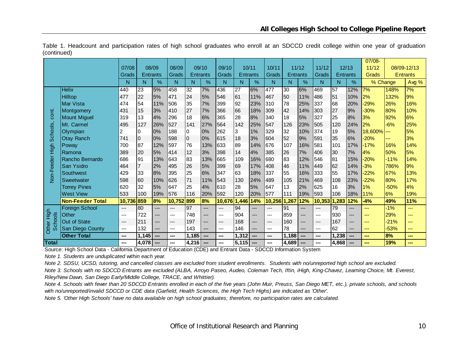|                |                         |                        |                 |       |              |                 |       |                               |                 |     |              |                 |       |        |                 |       | 07/08-         |        |                 |
|----------------|-------------------------|------------------------|-----------------|-------|--------------|-----------------|-------|-------------------------------|-----------------|-----|--------------|-----------------|-------|--------|-----------------|-------|----------------|--------|-----------------|
|                |                         | 07/08                  | 08/09           |       | 08/09        |                 | 09/10 | 09/10                         | 10/11           |     | 10/11        |                 | 11/12 | 11/12  |                 | 12/13 | 11/12          |        | 08/09-12/13     |
|                |                         | Grads                  | <b>Entrants</b> |       | <b>Grads</b> | <b>Entrants</b> |       | Grads                         | <b>Entrants</b> |     | <b>Grads</b> | <b>Entrants</b> |       | Grads  | <b>Entrants</b> |       | Grads          |        | <b>Entrants</b> |
|                |                         | N                      | N               | %     | N            | N               | %     | N                             | N               | %   | N            | N               | %     | N      | N               | %     | % Change       |        | Avg %           |
|                | <b>Helix</b>            | 440                    | 23              | 5%    | 458          | 32              | 7%    | 436                           | 27              | 6%  | 477          | 30              | 6%    | 469    | 57              | 12%   | 7%             | 148%   | 7%              |
|                | Hilltop                 | 477                    | 22              | 5%    | 471          | 24              | 5%    | 546                           | 61              | 11% | 467          | 50              | 11%   | 486    | 51              | 10%   | 2%             | 132%   | 9%              |
|                | Mar Vista               | 474                    | 54              | 11%   | 506          | 35              | 7%    | 399                           | 92              | 23% | 310          | 78              | 25%   | 337    | 68              | 20%   | $-29%$         | 26%    | 16%             |
| cont.          | Montgomery              | 431                    | 15              | 3%    | 410          | 27              | 7%    | 366                           | 66              | 18% | 309          | 42              | 14%   | 303    | 27              | 9%    | $-30%$         | 80%    | 10%             |
|                | <b>Mount Miguel</b>     | 319                    | 13              | 4%    | 296          | 18              | 6%    | 365                           | 28              | 8%  | 340          | 18              | 5%    | 327    | 25              | 8%    | 3%             | 92%    | 6%              |
|                | Mt. Carmel              | 495                    | 127             | 26%   | 527          | 141             | 27%   | 564                           | 142             | 25% | 547          | 126             | 23%   | 505    | 120             | 24%   | 2%             | $-6%$  | 25%             |
| Schools,       | Olympian                | 2                      | 0               | 0%    | 188          | 0               | 0%    | 262                           | 3               | 1%  | 329          | 32              | 10%   | 374    | 19              | 5%    | $18,600\%$ --- |        | 5%              |
|                | <b>Otay Ranch</b>       | 741                    | $\overline{0}$  | 0%    | 598          | $\overline{0}$  | 0%    | 615                           | 18              | 3%  | 604          | 52              | 9%    | 591    | 35              | 6%    | $-20%$         | ---    | 3%              |
| 동<br>도         | Poway                   | 700                    | 87              | 12%   | 597          | 76              | 13%   | 633                           | 89              | 14% | 676          | 107             | 16%   | 581    | 101             | 17%   | $-17%$         | 16%    | 14%             |
|                | Ramona                  | 389                    | 20              | 5%    | 414          | 12              | 3%    | 398                           | 14              | 4%  | 385          | 26              | 7%    | 406    | 30              | 7%    | 4%             | 50%    | 5%              |
|                | Rancho Bernardo         | 686                    | 91              | 13%   | 643          | 83              | 13%   | 665                           | 109             | 16% | 680          | 83              | 12%   | 546    | 81              | 15%   | $-20%$         | $-11%$ | 14%             |
| eeder          | San Ysidro              | 464                    | $\overline{7}$  | 2%    | 495          | 26              | 5%    | 399                           | 69              | 17% | 408          | 46              | 11%   | 449    | 62              | 14%   | $-3%$          | 786%   | 9%              |
| K              | Southwest               | 429                    | 33              | 8%    | 395          | 25              | 6%    | 347                           | 63              | 18% | 337          | 55              | 16%   | 333    | 55              | 17%   | $-22%$         | 67%    | 13%             |
|                | Sweetwater              | 598                    | 60              | 10%   | 626          | 71              | 11%   | 543                           | 130             | 24% | 489          | 105             | 21%   | 469    | 108             | 23%   | $-22%$         | 80%    | 17%             |
|                | <b>Torrey Pines</b>     | 620                    | 32              | 5%    | 647          | 25              | 4%    | 610                           | 28              | 5%  | 647          | 13              | 2%    | 625    | 16              | 3%    | 1%             | $-50%$ | 4%              |
|                | <b>West View</b>        | 533                    | 100             | 19%   | 576          | 116             | 20%   | 592                           | 120             | 20% | 577          | 111             | 19%   | 593    | 106             | 18%   | 11%            | 6%     | 19%             |
|                | <b>Non-Feeder Total</b> | 10,736                 | 859             | 8%    | 10,752       | 899             | 8%    | 10,676                        | 1,446           | 14% | 10,256 1,267 |                 | 12%   | 10,353 | 1,283           | 12%   | $-4%$          | 49%    | 11%             |
|                | <b>Foreign School</b>   | ---                    | 80              | $---$ | ---          | 97              | ---   | ---                           | 94              | --- | ---          | 91              | ---   | $---$  | 79              | ---   | ---            | $-1%$  | ---             |
| High           | Other                   | ---                    | 722             | ---   | ---          | 748             | ---   | $\qquad \qquad -\qquad -$     | 904             | --- | ---          | 859             | ---   | ---    | 930             | ---   | $---$          | 29%    | ---             |
| <b>Schools</b> | Out of State            | $\qquad \qquad \cdots$ | 211             | ---   | $---$        | 197             | ---   | $\hspace{1.5cm} \textbf{---}$ | 168             | --- | ---          | 160             | ---   | ---    | 167             | ---   | ---            | $-21%$ | ---             |
| Other          | San Diego County        | ---                    | 132             | ---   | ---          | 143             | ---   | $\qquad \qquad \cdots$        | 146             | --- | ---          | 78              | ---   | ---    | 62              | ---   | ---            | $-53%$ | ---             |
|                | <b>Other Total</b>      | ---                    | 1,145           | ---   | ---          | 1,185           |       | ---                           | 1,312           | --- | ---          | 1,188           | ---   | ---    | ,238            | ---   | $\sim$         | 8%     | ---             |
| <b>Total</b>   |                         | ---                    | 4,078           | ---   |              | 4,216           |       | ---                           | 5,115           | --- | ---          | 4,689           |       | ---    | 4,868           | ---   |                | 19%    | ---             |

Table 1. Headcount and participation rates of high school graduates who enroll at an SDCCD credit college within one year of graduation (continued)

Source: High School Data - California Department of Education (CDE) and Entrant Data - SDCCD Information System

*Note 1. Students are unduplicated within each year.*

*Note 2. SDSU, UCSD, tutoring, and cancelled classes are excluded from student enrollments. Students with no/unreported high school are excluded.*

*Note 3. Schools with no SDCCD Entrants are excluded (ALBA, Arroyo Paseo, Audeo, Coleman Tech, Iftin, iHigh, King-Chavez, Learning Choice, Mt. Everest, Riley/New Dawn, San Diego Early/Middle College, TRACE, and Whittier).*

*Note 4. Schools with fewer than 20 SDCCD Entrants enrolled in each of the five years (John Muir, Preuss, San Diego MET, etc.), private schools, and schools with no/unreported/invalid SDCCD or CDE data (Garfield, Health Sciences, the High Tech Highs) are indicated as 'Other'.*

*Note 5. 'Other High Schools' have no data available on high school graduates; therefore, no participation rates are calculated.*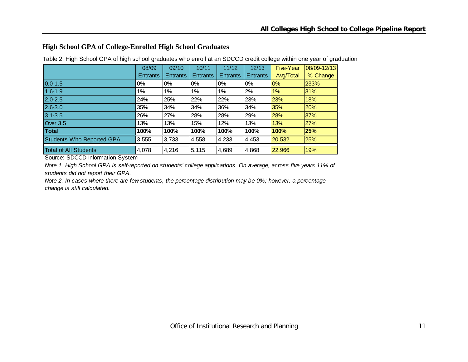## **High School GPA of College-Enrolled High School Graduates**

|                                  | 08/09           | 09/10           | 10/11    | 11/12           | 12/13           | Five-Year | 08/09-12/13 |
|----------------------------------|-----------------|-----------------|----------|-----------------|-----------------|-----------|-------------|
|                                  | <b>Entrants</b> | <b>Entrants</b> | Entrants | <b>Entrants</b> | <b>Entrants</b> | Avg/Total | % Change    |
| $0.0 - 1.5$                      | 0%              | $0\%$           | $0\%$    | $0\%$           | 0%              | 0%        | 233%        |
| $1.6 - 1.9$                      | 1%              | 1%              | 1%       | 1%              | 2%              | 1%        | 31%         |
| $2.0 - 2.5$                      | 24%             | 25%             | 22%      | 22%             | 23%             | 23%       | 18%         |
| $2.6 - 3.0$                      | 35%             | 34%             | 34%      | 36%             | 34%             | 35%       | 20%         |
| $3.1 - 3.5$                      | 26%             | 27%             | 28%      | 28%             | 29%             | 28%       | 37%         |
| Over 3.5                         | 13%             | 13%             | 15%      | 12%             | 13%             | 13%       | 27%         |
| Total                            | 100%            | 100%            | 100%     | 100%            | 100%            | 100%      | 25%         |
| <b>Students Who Reported GPA</b> | 3,555           | 3,733           | 4,558    | 4,233           | 4,453           | 20,532    | 25%         |
| <b>Total of All Students</b>     | 4,078           | 4,216           | 5,115    | 4,689           | 4,868           | 22,966    | 19%         |

Table 2. High School GPA of high school graduates who enroll at an SDCCD credit college within one year of graduation

Source: SDCCD Information System

*Note 1. High School GPA is self-reported on students' college applications. On average, across five years 11% of students did not report their GPA.*

*Note 2. In cases where there are few students, the percentage distribution may be 0%; however, a percentage change is still calculated.*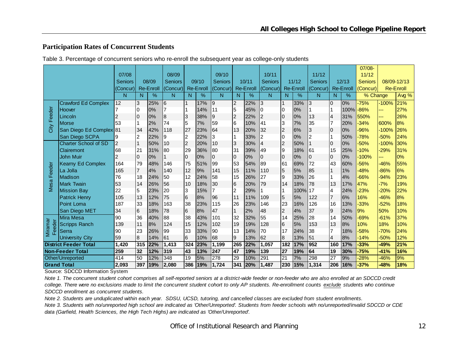#### **Participation Rates of Concurrent Students**

|               |                              |                |                |                  |                |                 |                  |                |                         |                  |                |                 |                  |                |                |                  | $07/08 -$      |         |                  |
|---------------|------------------------------|----------------|----------------|------------------|----------------|-----------------|------------------|----------------|-------------------------|------------------|----------------|-----------------|------------------|----------------|----------------|------------------|----------------|---------|------------------|
|               |                              | 07/08          |                |                  | 08/09          |                 |                  | 09/10          |                         |                  | 10/11          |                 |                  | 11/12          |                |                  | 11/12          |         |                  |
|               |                              | Seniors        |                | 08/09            | <b>Seniors</b> |                 | 09/10            | <b>Seniors</b> |                         | 10/11            | <b>Seniors</b> |                 | 11/12            | <b>Seniors</b> |                | 12/13            | <b>Seniors</b> |         | 08/09-12/13      |
|               |                              | Concur)        |                | <b>Re-Enroll</b> | (Concur)       |                 | <b>Re-Enroll</b> | (Concur)       |                         | <b>Re-Enroll</b> | (Concur)       |                 | <b>Re-Enroll</b> | (Concur)       |                | <b>Re-Enroll</b> | (Concur)       |         | <b>Re-Enroll</b> |
|               |                              | N              | N.             | $\frac{9}{6}$    | N              | N               | %                | N              | N                       | $\%$             | N              | N               | $\frac{9}{6}$    | N              | N              | $\frac{9}{6}$    | % Change       |         | Avg %            |
|               | <b>Crawford Ed Complex</b>   | 12             | 3              | 25%              | 6              |                 | 17%              | 9              | $\overline{c}$          | 22%              | 3              | 1               | 33%              | 3              | 0              | 0%               | $-75%$         | $-100%$ | 21%              |
| eeder         | Hoover                       |                | 0              | 0%               |                |                 | 14%              | 11             | 5                       | 45%              |                | 0               | 0%               |                |                | 100%             | $-86%$         |         | 27%              |
|               | Lincoln                      |                | 0              | 0%               | 8              | 3               | 38%              | 9              | $\overline{\mathbf{c}}$ | 22%              | 2              | $\overline{0}$  | 0%               | 13             | $\overline{4}$ | 31%              | 550%           | ---     | 26%              |
| Lī.           | <b>Morse</b>                 | 53             |                | 2%               | 74             | 5               | 7%               | 59             | 6                       | 10%              | 41             | 3               | 7%               | 35             |                | 20%              | $-34%$         | 600%    | 8%               |
| City          | San Diego Ed Complex 81      |                | 34             | 42%              | 118            | 27              | 23%              | 64             | 13                      | 20%              | 32             | $\overline{2}$  | 6%               | 3              | 0              | 0%               | $-96%$         | $-100%$ | 26%              |
|               | San Diego SCPA               | 9              | 2              | 22%              | 9              | $\overline{2}$  | 22%              | 3              | $\vert$ 1               | 33%              | 2              | 0               | 0%               | $\overline{c}$ |                | 50%              | -78%           | $-50%$  | 24%              |
|               | <b>Charter School of SD</b>  | $\overline{2}$ | 1              | 50%              | 10             | 2               | 20%              | 10             | 3                       | 30%              | 4              | $\overline{2}$  | 50%              |                | 0              | 0%               | $-50%$         | $-100%$ | 30%              |
|               | Clairemont                   | 68             | 21             | 31%              | 80             | 29              | 36%              | 80             | 31                      | 39%              | 49             | $9\,$           | 18%              | 61             | 15             | 25%              | $-10%$         | $-29%$  | 31%              |
|               | <b>John Muir</b>             | $\overline{2}$ | $\Omega$       | 0%               |                | $\overline{0}$  | 0%               | $\overline{0}$ | $\mathbf 0$             | 0%               | 10             | $\overline{0}$  | 0%               | $\overline{0}$ | $\overline{0}$ | 0%               | $-100%$        | --      | 0%               |
|               | <b>Kearny Ed Complex</b>     | 164            | 79             | 48%              | 146            | 75              | 51%              | 99             | 53                      | 54%              | 89             | 61              | 69%              | 72             | 43             | 60%              | $-56%$         | $-46%$  | 55%              |
| Feeder        | La Jolla                     | 165            | $\overline{7}$ | 4%               | 140            | 12              | 9%               | 141            | 15                      | 11%              | 110            | 5               | 5%               | 85             |                | 1%               | $-48%$         | $-86%$  | 6%               |
|               | Madison                      | 76             | 18             | 24%              | 50             | 12              | 24%              | 58             | 15                      | 26%              | 27             | 9               | 33%              | 26             |                | 4%               | $-66%$         | .94%    | 23%              |
| Mesa          | <b>Mark Twain</b>            | 53             | 14             | 26%              | 56             | 10              | 18%              | 30             | $6\overline{6}$         | 20%              | 79             | 14              | 18%              | 78             | 13             | 17%              | 47%            | $-7%$   | 19%              |
|               | <b>Mission Bay</b>           | 22             | 5              | 23%              | 20             | 3               | 15%              | 7              | $\overline{2}$          | 29%              |                | 1               | 100%             | 17             | $\overline{4}$ | 24%              | $-23%$         | $-20%$  | 22%              |
|               | <b>Patrick Henry</b>         | 105            | 13             | 12%              | 75             | $6\phantom{.}6$ | 8%               | 96             | 11                      | 11%              | 109            | 5               | 5%               | 122            | $\overline{7}$ | 6%               | 16%            | $-46%$  | 8%               |
|               | <b>Point Loma</b>            | 187            | 33             | 18%              | 163            | 38              | 23%              | 115            | 26                      | 23%              | 146            | 23              | 16%              | 126            | 16             | 13%              | $-33%$         | $-52%$  | 18%              |
|               | San Diego MET                | 34             | 6              | 18%              | 78             | 6               | 8%               | 47             | 1                       | 2%               | 48             | $\overline{2}$  | 4%               | 37             | 9              | 24%              | 9%             | 50%     | 10%              |
|               | Mira Mesa                    | 90             | 36             | 40%              | 88             | 38              | 43%              | 101            | 32                      | 32%              | 55             | 14              | 25%              | 28             | 14             | 50%              | $-69%$         | $-61%$  | 37%              |
| <b>eder</b>   | <b>Scripps Ranch</b>         | 139            | 11             | 8%               | 124            | 15              | 12%              | 102            | 19                      | 19%              | 128            | 6               | 5%               | 153            | 13             | 8%               | 10%            | 18%     | 10%              |
| Miramar<br>Eē | Serra                        | 90             | 23             | 26%              | 99             | 33              | 33%              | 90             | 113                     | 14%              | 70             | 17              | 24%              | 38             | 7              | 18%              | $-58%$         | $-70%$  | 24%              |
|               | <b>University City</b>       | 59             | 8              | 14%              | 61             | 6               | 10%              | 68             | $\overline{9}$          | 13%              | 62             | 8               | 13%              | 51             | $\overline{4}$ | 8%               | $-14%$         | $-50%$  | 12%              |
|               | <b>District Feeder Total</b> | 1.420          | 315            | 22%              | 1,413          | 324             | 23%              | 1,199          | 265                     | 22%              | 1,057          | 182             | 17%              | 952            | 160            | 17%              | 33%            | $-49%$  | 21%              |
|               | <b>Non-Feeder Total</b>      | 259            | 32             | 12%              | 319            | 43              | 13%              | 247            | 47                      | 19%              | 139            | $\overline{27}$ | 19%              | 64             | 19             | 30%              | 75%            | $-41%$  | 16%              |
|               | Other/Unreported             | 414            | 50             | 12%              | 348            | 19              | 5%               | 278            | 29                      | 10%              | 291            | 21              | 7%               | 298            | 27             | 9%               | $-28%$         | $-46%$  | 9%               |
|               | <b>Grand Total</b>           | 2,093          | 397            | 19%              | 2,080          | 386             | 19%              | 1,724          | 341                     | 20%              | 1,487          | 230             | 15%              | 1,314          | 206            | 16%              | $-37%$         | -48%    | 18%              |

Table 3. Percentage of concurrent seniors who re-enroll the subsequent year as college-only students

Source: SDCCD Information System

*Note 1. The concurrent student cohort comprises all self-reported seniors at a district-wide feeder or non-feeder who are also enrolled at an SDCCD credit college. There were no exclusions made to limit the concurrent student cohort to only AP students. Re-enrollment counts exclude students who continue SDCCD enrollment as concurrent students.* 

*Note 2. Students are unduplicated within each year. SDSU, UCSD, tutoring, and cancelled classes are excluded from student enrollments.* 

*Note 3. Students with no/unreported high school are indicated as 'Other/Unreported'. Students from feeder schools with no/unreported/invalid SDCCD or CDE data (Garfield, Health Sciences, the High Tech Highs) are indicated as 'Other/Unreported'.*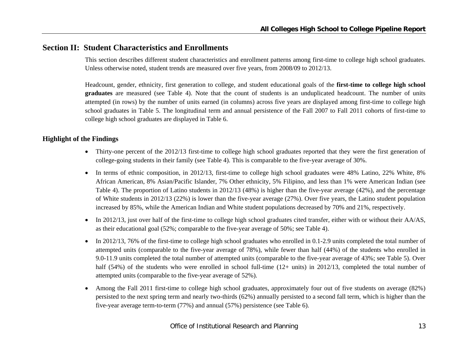## **Section II: Student Characteristics and Enrollments**

This section describes different student characteristics and enrollment patterns among first-time to college high school graduates. Unless otherwise noted, student trends are measured over five years, from 2008/09 to 2012/13.

Headcount, gender, ethnicity, first generation to college, and student educational goals of the **first-time to college high school graduates** are measured (see Table 4). Note that the count of students is an unduplicated headcount. The number of units attempted (in rows) by the number of units earned (in columns) across five years are displayed among first-time to college high school graduates in Table 5. The longitudinal term and annual persistence of the Fall 2007 to Fall 2011 cohorts of first-time to college high school graduates are displayed in Table 6.

#### **Highlight of the Findings**

- Thirty-one percent of the 2012/13 first-time to college high school graduates reported that they were the first generation of college-going students in their family (see Table 4). This is comparable to the five-year average of 30%.
- In terms of ethnic composition, in 2012/13, first-time to college high school graduates were 48% Latino, 22% White, 8% African American, 8% Asian/Pacific Islander, 7% Other ethnicity, 5% Filipino, and less than 1% were American Indian (see Table 4). The proportion of Latino students in 2012/13 (48%) is higher than the five-year average (42%), and the percentage of White students in 2012/13 (22%) is lower than the five-year average (27%). Over five years, the Latino student population increased by 85%, while the American Indian and White student populations decreased by 70% and 21%, respectively.
- $\bullet$  In 2012/13, just over half of the first-time to college high school graduates cited transfer, either with or without their AA/AS, as their educational goal (52%; comparable to the five-year average of 50%; see Table 4).
- $\bullet$  In 2012/13, 76% of the first-time to college high school graduates who enrolled in 0.1-2.9 units completed the total number of attempted units (comparable to the five-year average of 78%), while fewer than half (44%) of the students who enrolled in 9.0-11.9 units completed the total number of attempted units (comparable to the five-year average of 43%; see Table 5). Over half (54%) of the students who were enrolled in school full-time (12+ units) in 2012/13, completed the total number of attempted units (comparable to the five-year average of 52%).
- 0 Among the Fall 2011 first-time to college high school graduates, approximately four out of five students on average (82%) persisted to the next spring term and nearly two-thirds (62%) annually persisted to a second fall term, which is higher than the five-year average term-to-term (77%) and annual (57%) persistence (see Table 6).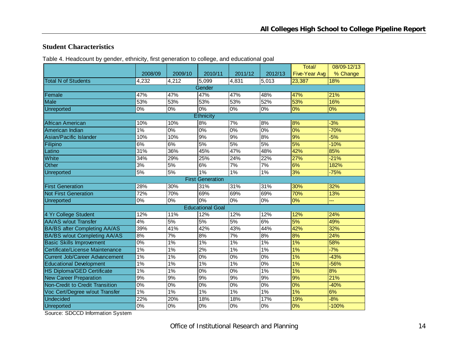#### **Student Characteristics**

Table 4. Headcount by gender, ethnicity, first generation to college, and educational goal

|                                       |                  |         |                         |                  |         | Total/               | 08/09-12/13 |
|---------------------------------------|------------------|---------|-------------------------|------------------|---------|----------------------|-------------|
|                                       | 2008/09          | 2009/10 | 2010/11                 | 2011/12          | 2012/13 | <b>Five-Year Avg</b> | % Change    |
| <b>Total N of Students</b>            | 4,232            | 4,212   | 5,099                   | 4,831            | 5,013   | 23,387               | 18%         |
|                                       |                  |         | Gender                  |                  |         |                      |             |
| Female                                | 47%              | 47%     | 47%                     | 47%              | 48%     | 47%                  | 21%         |
| <b>Male</b>                           | 53%              | 53%     | 53%                     | 53%              | 52%     | 53%                  | 16%         |
| Unreported                            | 0%               | 0%      | 0%                      | $0\%$            | $0\%$   | 0%                   | $0\%$       |
|                                       |                  |         | Ethnicity               |                  |         |                      |             |
| African American                      | 10%              | 10%     | 8%                      | 7%               | 8%      | 8%                   | $-3%$       |
| American Indian                       | $1\%$            | 0%      | 0%                      | 0%               | 0%      | 0%                   | $-70%$      |
| Asian/Pacific Islander                | 10%              | 10%     | 9%                      | 9%               | 8%      | 9%                   | $-5%$       |
| Filipino                              | 6%               | 6%      | 5%                      | 5%               | 5%      | 5%                   | $-10%$      |
| Latino                                | 31%              | 36%     | 45%                     | 47%              | 48%     | 42%                  | 85%         |
| White                                 | 34%              | 29%     | 25%                     | 24%              | 22%     | 27%                  | $-21%$      |
| <b>Other</b>                          | 3%               | 5%      | 6%                      | 7%               | 7%      | 6%                   | 182%        |
| Unreported                            | 5%               | 5%      | 1%                      | 1%               | 1%      | 3%                   | $-75%$      |
|                                       |                  |         | <b>First Generation</b> |                  |         |                      |             |
| <b>First Generation</b>               | 28%              | 30%     | 31%                     | 31%              | 31%     | 30%                  | 32%         |
| <b>Not First Generation</b>           | 72%              | 70%     | 69%                     | 69%              | 69%     | 70%                  | 13%         |
| <b>Unreported</b>                     | 0%               | 0%      | 0%                      | 0%               | 0%      | 0%                   | шL,         |
|                                       |                  |         | <b>Educational Goal</b> |                  |         |                      |             |
| 4 Yr College Student                  | 12%              | 11%     | 12%                     | 12%              | 12%     | 12%                  | 24%         |
| <b>AA/AS w/out Transfer</b>           | 4%               | 5%      | 5%                      | 5%               | 6%      | 5%                   | 49%         |
| <b>BA/BS after Completing AA/AS</b>   | 39%              | 41%     | 42%                     | 43%              | 44%     | 42%                  | 32%         |
| <b>BA/BS w/out Completing AA/AS</b>   | 8%               | 7%      | 8%                      | $\overline{7\%}$ | 8%      | 8%                   | 24%         |
| <b>Basic Skills Improvement</b>       | $\overline{0\%}$ | $1\%$   | $1\%$                   | $1\%$            | $1\%$   | $1\%$                | 58%         |
| Certificate/License Maintenance       | $1\%$            | 1%      | 2%                      | $1\%$            | 1%      | 1%                   | $-7%$       |
| <b>Current Job/Career Advancement</b> | 1%               | 1%      | 0%                      | 0%               | 0%      | 1%                   | $-43%$      |
| <b>Educational Development</b>        | 1%               | 1%      | 1%                      | $1\%$            | $0\%$   | 1%                   | $-56%$      |
| <b>HS Diploma/GED Certificate</b>     | 1%               | 1%      | 0%                      | $0\%$            | 1%      | 1%                   | 8%          |
| <b>New Career Preparation</b>         | 9%               | 9%      | 9%                      | 9%               | 9%      | 9%                   | 21%         |
| Non-Credit to Credit Transition       | 0%               | 0%      | 0%                      | $0\%$            | 0%      | 0%                   | $-40%$      |
| Voc Cert/Degree w/out Transfer        | $1\%$            | 1%      | $1\%$                   | 1%               | 1%      | $1\%$                | 6%          |
| Undecided                             | 22%              | 20%     | 18%                     | 18%              | 17%     | 19%                  | $-8%$       |
| Unreported                            | $\overline{0\%}$ | $0\%$   | $0\%$                   | $0\%$            | 0%      | 0%                   | $-100%$     |

Source: SDCCD Information System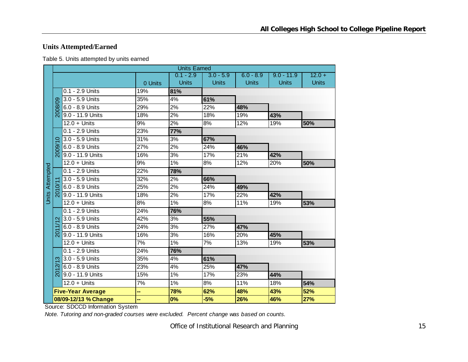## **Units Attempted/Earned**

| Table 5. Units attempted by units earned |
|------------------------------------------|
|------------------------------------------|

|                        |          |                          |         | <b>Units Earned</b> |              |              |              |              |
|------------------------|----------|--------------------------|---------|---------------------|--------------|--------------|--------------|--------------|
|                        |          |                          |         | $0.1 - 2.9$         | $3.0 - 5.9$  | $6.0 - 8.9$  | $9.0 - 11.9$ | $12.0 +$     |
|                        |          |                          | 0 Units | <b>Units</b>        | <b>Units</b> | <b>Units</b> | <b>Units</b> | <b>Units</b> |
|                        |          | $0.1 - 2.9$ Units        | 19%     | 81%                 |              |              |              |              |
|                        |          | 3.0 - 5.9 Units          | 35%     | 4%                  | 61%          |              |              |              |
|                        | 2008/09  | 6.0 - 8.9 Units          | 29%     | 2%                  | 22%          | 48%          |              |              |
|                        |          | 9.0 - 11.9 Units         | 18%     | 2%                  | 18%          | 19%          | 43%          |              |
|                        |          | $12.0 +$ Units           | 9%      | 2%                  | 8%           | 12%          | 19%          | 50%          |
|                        |          | 0.1 - 2.9 Units          | 23%     | 77%                 |              |              |              |              |
|                        |          | 3.0 - 5.9 Units          | 31%     | 3%                  | 67%          |              |              |              |
|                        | 2009/    | 6.0 - 8.9 Units          | 27%     | 2%                  | 24%          | 46%          |              |              |
|                        |          | 9.0 - 11.9 Units         | 16%     | 3%                  | 17%          | 21%          | 42%          |              |
|                        |          | $12.0 +$ Units           | 9%      | 1%                  | 8%           | 12%          | 20%          | 50%          |
| <b>Units Attempted</b> |          | 0.1 - 2.9 Units          | 22%     | 78%                 |              |              |              |              |
|                        |          | 3.0 - 5.9 Units          | 32%     | 2%                  | 66%          |              |              |              |
|                        |          | 6.0 - 8.9 Units          | 25%     | 2%                  | 24%          | 49%          |              |              |
|                        | న్ద      | 9.0 - 11.9 Units         | 18%     | $\overline{2\%}$    | 17%          | 22%          | 42%          |              |
|                        |          | $12.0 +$ Units           | 8%      | 1%                  | 8%           | 11%          | 19%          | 53%          |
|                        |          | 0.1 - 2.9 Units          | 24%     | 76%                 |              |              |              |              |
|                        |          | 3.0 - 5.9 Units          | 42%     | 3%                  | 55%          |              |              |              |
|                        |          | 6.0 - 8.9 Units          | 24%     | $\overline{3\%}$    | 27%          | 47%          |              |              |
|                        | ద్ద      | 9.0 - 11.9 Units         | 16%     | 3%                  | 16%          | 20%          | 45%          |              |
|                        |          | $12.0 +$ Units           | 7%      | 1%                  | 7%           | 13%          | 19%          | 53%          |
|                        |          | 0.1 - 2.9 Units          | 24%     | 76%                 |              |              |              |              |
|                        | က        | 3.0 - 5.9 Units          | 35%     | 4%                  | 61%          |              |              |              |
|                        | ন        | 6.0 - 8.9 Units          | 23%     | 4%                  | 25%          | 47%          |              |              |
|                        | <u>δ</u> | 9.0 - 11.9 Units         | 15%     | $1\%$               | 17%          | 23%          | 44%          |              |
|                        |          | $12.0 +$ Units           | 7%      | 1%                  | 8%           | 11%          | 18%          | 54%          |
|                        |          | <b>Five-Year Average</b> | н,      | 78%                 | 62%          | 48%          | 43%          | 52%          |
|                        |          | 08/09-12/13 % Change     | --      | 0%                  | $-5%$        | 26%          | 46%          | 27%          |

Source: SDCCD Information System

*Note. Tutoring and non-graded courses were excluded. Percent change was based on counts.*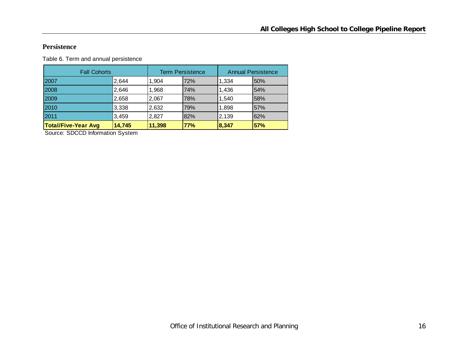#### **Persistence**

Table 6. Term and annual persistence

| <b>Fall Cohorts</b>        |        |        | <b>Term Persistence</b> |        | <b>Annual Persistence</b> |
|----------------------------|--------|--------|-------------------------|--------|---------------------------|
| 2007                       | 2,644  | 1,904  | 72%                     | 1,334  | 50%                       |
| 2008                       | 2,646  | 1,968  | 74%                     | 1,436  | 54%                       |
| 2009                       | 2,658  | 2,067  | 78%                     | 1.540  | 58%                       |
| 2010                       | 3,338  | 2,632  | 79%                     | 1,898  | 57%                       |
| 2011                       | 3,459  | 2,827  | 82%                     | 2,139  | 62%                       |
| <b>Total/Five-Year Avg</b> | 14,745 | 11,398 | 77%                     | 18.347 | 57%                       |

Source: SDCCD Information System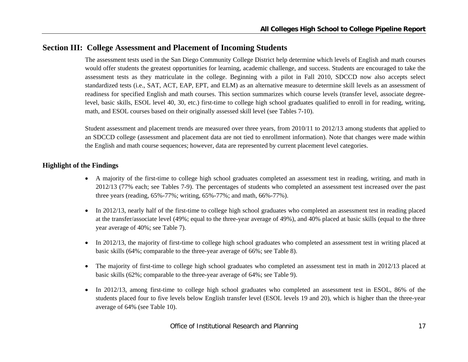## **Section III: College Assessment and Placement of Incoming Students**

The assessment tests used in the San Diego Community College District help determine which levels of English and math courses would offer students the greatest opportunities for learning, academic challenge, and success. Students are encouraged to take the assessment tests as they matriculate in the college. Beginning with a pilot in Fall 2010, SDCCD now also accepts select standardized tests (i.e., SAT, ACT, EAP, EPT, and ELM) as an alternative measure to determine skill levels as an assessment of readiness for specified English and math courses. This section summarizes which course levels (transfer level, associate degreelevel, basic skills, ESOL level 40, 30, etc.) first-time to college high school graduates qualified to enroll in for reading, writing, math, and ESOL courses based on their originally assessed skill level (see Tables 7-10).

Student assessment and placement trends are measured over three years, from 2010/11 to 2012/13 among students that applied to an SDCCD college (assessment and placement data are not tied to enrollment information). Note that changes were made within the English and math course sequences; however, data are represented by current placement level categories.

#### **Highlight of the Findings**

- A majority of the first-time to college high school graduates completed an assessment test in reading, writing, and math in 2012/13 (77% each; see Tables 7-9). The percentages of students who completed an assessment test increased over the past three years (reading, 65%-77%; writing, 65%-77%; and math, 66%-77%).
- $\bullet$  In 2012/13, nearly half of the first-time to college high school graduates who completed an assessment test in reading placed at the transfer/associate level (49%; equal to the three-year average of 49%), and 40% placed at basic skills (equal to the three year average of 40%; see Table 7).
- $\bullet$  In 2012/13, the majority of first-time to college high school graduates who completed an assessment test in writing placed at basic skills (64%; comparable to the three-year average of 66%; see Table 8).
- $\bullet$  The majority of first-time to college high school graduates who completed an assessment test in math in 2012/13 placed at basic skills (62%; comparable to the three-year average of 64%; see Table 9).
- $\bullet$  In 2012/13, among first-time to college high school graduates who completed an assessment test in ESOL, 86% of the students placed four to five levels below English transfer level (ESOL levels 19 and 20), which is higher than the three-year average of 64% (see Table 10).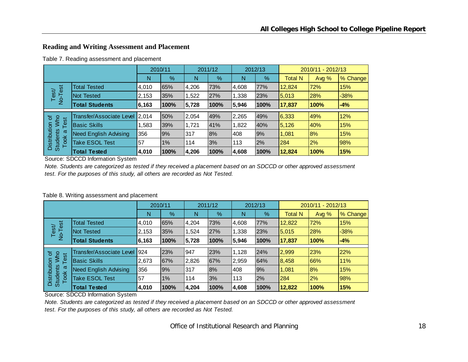## **Reading and Writing Assessment and Placement**

Table 7. Reading assessment and placement

|                                         |                                |       | 2010/11 |       | 2011/12 |       | 2012/13 | 2010/11 - 2012/13 |         |          |  |
|-----------------------------------------|--------------------------------|-------|---------|-------|---------|-------|---------|-------------------|---------|----------|--|
|                                         |                                | N     | %       | Ν     | $\%$    | N     | $\%$    | <b>Total N</b>    | Avg $%$ | % Change |  |
| est                                     | <b>Total Tested</b>            | 4,010 | 65%     | 4,206 | 73%     | 4,608 | 77%     | 12,824            | 72%     | 15%      |  |
| Test/<br>$\overline{P}$                 | Not Tested                     | 2,153 | 35%     | 1,522 | 27%     | 1,338 | 23%     | 5,013             | 28%     | $-38%$   |  |
|                                         | <b>Total Students</b>          | 6,163 | 100%    | 5,728 | 100%    | 5,946 | 100%    | 17,837            | 100%    | $-4%$    |  |
|                                         |                                |       |         |       |         |       |         |                   |         |          |  |
| ৳                                       | Transfer/Associate Level 2,014 |       | 50%     | 2,054 | 49%     | 2,265 | 49%     | 6,333             | 49%     | 12%      |  |
| <b>NW</b><br>Test                       | <b>Basic Skills</b>            | ,583  | 39%     | 1.721 | 41%     | 1,822 | 40%     | 5,126             | 40%     | 15%      |  |
| σ                                       | <b>Need English Advising</b>   | 356   | 9%      | 317   | 8%      | 408   | 9%      | 1,081             | 8%      | 15%      |  |
| Distribution<br><b>Students</b><br>Took | <b>Take ESOL Test</b>          | 57    | $1\%$   | 114   | 3%      | 113   | 2%      | 284               | 2%      | 98%      |  |
|                                         | <b>Total Tested</b>            | 4,010 | 100%    | 4,206 | 100%    | 4,608 | 100%    | 12.824            | 100%    | 15%      |  |

Source: SDCCD Information System

*Note. Students are categorized as tested if they received a placement based on an SDCCD or other approved assessment test. For the purposes of this study, all others are recorded as Not Tested.*

|                                         |                                 |        | 2010/11 |       | 2011/12 |       | 2012/13 | 2010/11 - 2012/13 |       |          |  |
|-----------------------------------------|---------------------------------|--------|---------|-------|---------|-------|---------|-------------------|-------|----------|--|
|                                         |                                 | N      | $\%$    | N     | $\%$    | N     | $\%$    | <b>Total N</b>    | Avg % | % Change |  |
| ise.                                    | <b>Total Tested</b>             | 4,010  | 65%     | 4.204 | 73%     | 4,608 | 77%     | 12,822            | 72%   | 15%      |  |
| Test/<br>$\frac{1}{2}$                  | Not Tested                      | 2,153  | 35%     | 524,  | 27%     | 1,338 | 23%     | 5,015             | 28%   | $-38%$   |  |
|                                         | <b>Total Students</b>           | 6, 163 | 100%    | 5,728 | 100%    | 5,946 | 100%    | 17,837            | 100%  | $-4%$    |  |
| ৳                                       | <b>Transfer/Associate Level</b> | 1924   | 23%     | 947   | 23%     | 1,128 | 24%     | 2,999             | 23%   | 22%      |  |
| <b>MW</b><br>Test                       | <b>Basic Skills</b>             | 2,673  | 67%     | 2,826 | 67%     | 2,959 | 64%     | 8,458             | 66%   | 11%      |  |
| ω                                       | <b>Need English Advising</b>    | 356    | 9%      | 317   | 8%      | 408   | 9%      | 1,081             | 18%   | 15%      |  |
| Distribution<br><b>Students</b><br>Took | Take ESOL Test                  | 57     | 1%      | 114   | 3%      | 113   | 2%      | 284               | 2%    | 98%      |  |
|                                         | <b>Total Tested</b>             | 4,010  | 100%    | 4,204 | 100%    | 4,608 | 100%    | 12,822            | 100%  | 15%      |  |

#### Table 8. Writing assessment and placement

Source: SDCCD Information System

*Note. Students are categorized as tested if they received a placement based on an SDCCD or other approved assessment test. For the purposes of this study, all others are recorded as Not Tested.*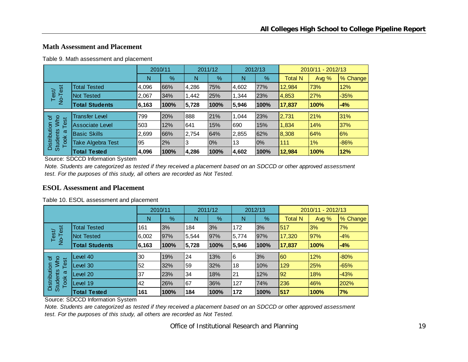## **Math Assessment and Placement**

|  |  | Table 9. Math assessment and placement |  |  |
|--|--|----------------------------------------|--|--|
|--|--|----------------------------------------|--|--|

|                                                                  |                       | 2010/11 |      | 2011/12 |      | 2012/13 |      | 2010/11 - 2012/13 |         |          |  |
|------------------------------------------------------------------|-----------------------|---------|------|---------|------|---------|------|-------------------|---------|----------|--|
|                                                                  |                       | N       | %    | N       | %    | Ν       | %    | <b>Total N</b>    | Avg $%$ | % Change |  |
| est<br>Test/                                                     | <b>Total Tested</b>   | 4,096   | 66%  | 4,286   | 75%  | 4,602   | 77%  | 12,984            | 73%     | 12%      |  |
|                                                                  | Not Tested            | 2,067   | 34%  | 1,442   | 25%  | 344, ا  | 23%  | 4,853             | 27%     | $-35%$   |  |
| $\frac{1}{2}$                                                    | <b>Total Students</b> | 6,163   | 100% | 5,728   | 100% | 5,946   | 100% | 17,837            | 100%    | $-4%$    |  |
|                                                                  |                       |         |      |         |      |         |      |                   |         |          |  |
| 'ŏ                                                               | <b>Transfer Level</b> | 799     | 20%  | 888     | 21%  | 1,044   | 23%  | 2,731             | 21%     | 31%      |  |
| <b>NW</b><br>est<br>Distribution<br><b>Students</b><br>ω<br>Took | Associate Level       | 503     | 12%  | 641     | 15%  | 690     | 15%  | 1,834             | 14%     | 37%      |  |
|                                                                  | <b>Basic Skills</b>   | 2,699   | 66%  | 2,754   | 64%  | 2,855   | 62%  | 8,308             | 64%     | 6%       |  |
|                                                                  | Take Algebra Test     | 95      | 2%   | 3       | 0%   | 13      | 10%  | 111               | $1\%$   | $-86%$   |  |
|                                                                  | <b>Total Tested</b>   | 4,096   | 100% | 4,286   | 100% | 4,602   | 100% | 12,984            | 100%    | 12%      |  |

Source: SDCCD Information System

*Note. Students are categorized as tested if they received a placement based on an SDCCD or other approved assessment test. For the purposes of this study, all others are recorded as Not Tested.*

#### **ESOL Assessment and Placement**

|                                         |                       | 2010/11 |               | 2011/12 |      | 2012/13 |               | 2010/11 - 2012/13 |             |          |
|-----------------------------------------|-----------------------|---------|---------------|---------|------|---------|---------------|-------------------|-------------|----------|
|                                         |                       | N       | $\frac{9}{6}$ | Ν       | %    | N       | $\frac{9}{6}$ | <b>Total N</b>    | Avg %       | % Change |
| <b>Jse</b><br>Test/<br>$\frac{1}{2}$    | <b>Total Tested</b>   | 161     | 3%            | 184     | 3%   | 172     | 3%            | 517               | 3%          | 7%       |
|                                         | <b>Not Tested</b>     | 6,002   | 97%           | 5,544   | 97%  | 5,774   | 97%           | 17,320            | 97%         | $-4%$    |
|                                         | <b>Total Students</b> | 6, 163  | 100%          | 5,728   | 100% | 5,946   | 100%          | 17,837            | <b>100%</b> | $-4%$    |
| ৳                                       | Level 40              | 30      | 19%           | 24      | 13%  | 6       | 3%            | 60                | 12%         | $-80%$   |
| <b>NW</b><br>est                        | Level 30              | 52      | 32%           | 59      | 32%  | 18      | 10%           | 129               | 25%         | $-65%$   |
| ω                                       | Level 20              | 37      | 23%           | 34      | 18%  | 21      | 12%           | 92                | 18%         | $-43%$   |
| Distribution<br><b>Students</b><br>Took | Level 19              | 42      | 26%           | 67      | 36%  | 127     | 74%           | 236               | 46%         | 202%     |
|                                         | <b>Total Tested</b>   | 161     | 100%          | 184     | 100% | 172     | 100%          | 517               | 100%        | 7%       |

Source: SDCCD Information System

*Note. Students are categorized as tested if they received a placement based on an SDCCD or other approved assessment test. For the purposes of this study, all others are recorded as Not Tested.*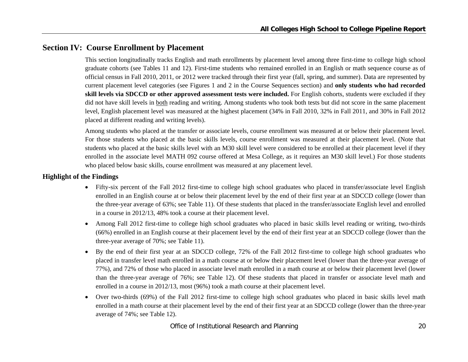## **Section IV: Course Enrollment by Placement**

This section longitudinally tracks English and math enrollments by placement level among three first-time to college high school graduate cohorts (see Tables 11 and 12). First-time students who remained enrolled in an English or math sequence course as of official census in Fall 2010, 2011, or 2012 were tracked through their first year (fall, spring, and summer). Data are represented by current placement level categories (see Figures 1 and 2 in the Course Sequences section) and **only students who had recorded skill levels via SDCCD or other approved assessment tests were included.** For English cohorts, students were excluded if they did not have skill levels in both reading and writing. Among students who took both tests but did not score in the same placement level, English placement level was measured at the highest placement (34% in Fall 2010, 32% in Fall 2011, and 30% in Fall 2012 placed at different reading and writing levels).

Among students who placed at the transfer or associate levels, course enrollment was measured at or below their placement level. For those students who placed at the basic skills levels, course enrollment was measured at their placement level. (Note that students who placed at the basic skills level with an M30 skill level were considered to be enrolled at their placement level if they enrolled in the associate level MATH 092 course offered at Mesa College, as it requires an M30 skill level.) For those students who placed below basic skills, course enrollment was measured at any placement level.

#### **Highlight of the Findings**

- Fifty-six percent of the Fall 2012 first-time to college high school graduates who placed in transfer/associate level English enrolled in an English course at or below their placement level by the end of their first year at an SDCCD college (lower than the three-year average of 63%; see Table 11). Of these students that placed in the transfer/associate English level and enrolled in a course in 2012/13, 48% took a course at their placement level.
- $\bullet$  Among Fall 2012 first-time to college high school graduates who placed in basic skills level reading or writing, two-thirds (66%) enrolled in an English course at their placement level by the end of their first year at an SDCCD college (lower than the three-year average of 70%; see Table 11).
- e By the end of their first year at an SDCCD college, 72% of the Fall 2012 first-time to college high school graduates who placed in transfer level math enrolled in a math course at or below their placement level (lower than the three-year average of 77%), and 72% of those who placed in associate level math enrolled in a math course at or below their placement level (lower than the three-year average of 76%; see Table 12). Of these students that placed in transfer or associate level math and enrolled in a course in 2012/13, most (96%) took a math course at their placement level.
- e Over two-thirds (69%) of the Fall 2012 first-time to college high school graduates who placed in basic skills level math enrolled in a math course at their placement level by the end of their first year at an SDCCD college (lower than the three-year average of 74%; see Table 12).